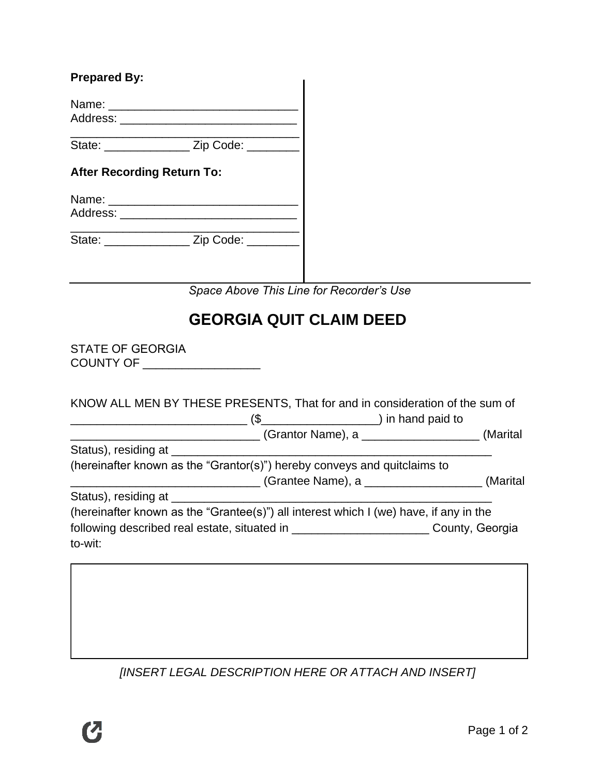| <b>Prepared By:</b>               |                                                |                                                                                                                                                                                   |  |
|-----------------------------------|------------------------------------------------|-----------------------------------------------------------------------------------------------------------------------------------------------------------------------------------|--|
|                                   |                                                |                                                                                                                                                                                   |  |
|                                   | Address: __________________________________    |                                                                                                                                                                                   |  |
|                                   | State: ___________________ Zip Code: ________  |                                                                                                                                                                                   |  |
| <b>After Recording Return To:</b> |                                                |                                                                                                                                                                                   |  |
|                                   |                                                |                                                                                                                                                                                   |  |
|                                   | State: ___________________ Zip Code: _________ |                                                                                                                                                                                   |  |
|                                   |                                                | Space Above This Line for Recorder's Use                                                                                                                                          |  |
|                                   |                                                | <b>GEORGIA QUIT CLAIM DEED</b>                                                                                                                                                    |  |
| <b>STATE OF GEORGIA</b>           | COUNTY OF ___________________                  |                                                                                                                                                                                   |  |
|                                   |                                                | KNOW ALL MEN BY THESE PRESENTS, That for and in consideration of the sum of                                                                                                       |  |
|                                   |                                                | (Grantor Name), a ______________(Marital                                                                                                                                          |  |
|                                   |                                                |                                                                                                                                                                                   |  |
|                                   |                                                | (hereinafter known as the "Grantor(s)") hereby conveys and quitclaims to<br>(Grantee Name), a _____________(Marital                                                               |  |
|                                   |                                                |                                                                                                                                                                                   |  |
|                                   |                                                | (hereinafter known as the "Grantee(s)") all interest which I (we) have, if any in the<br>following described real estate, situated in ____________________________County, Georgia |  |
| to-wit:                           |                                                |                                                                                                                                                                                   |  |
|                                   |                                                |                                                                                                                                                                                   |  |
|                                   |                                                |                                                                                                                                                                                   |  |
|                                   |                                                |                                                                                                                                                                                   |  |
|                                   |                                                |                                                                                                                                                                                   |  |

*[INSERT LEGAL DESCRIPTION HERE OR ATTACH AND INSERT]*